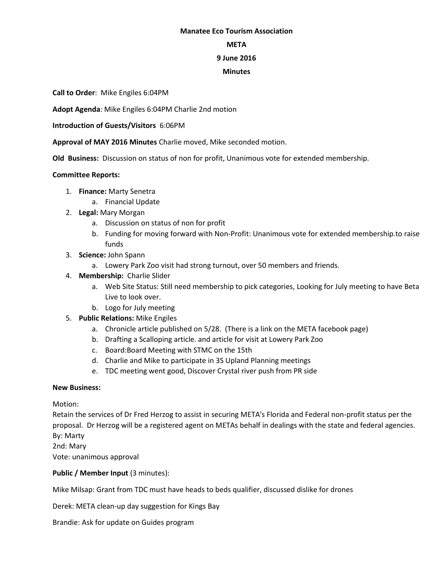#### **Manatee Eco Tourism Association**

#### **META**

## **9 June 2016**

## **Minutes**

**Call to Order**: Mike Engiles 6:04PM

**Adopt Agenda**: Mike Engiles 6:04PM Charlie 2nd motion

**Introduction of Guests/Visitors** 6:06PM

**Approval of MAY 2016 Minutes** Charlie moved, Mike seconded motion.

**Old Business:** Discussion on status of non for profit, Unanimous vote for extended membership.

# **Committee Reports:**

- 1. **Finance:** Marty Senetra
	- a. Financial Update
- 2. **Legal:** Mary Morgan
	- a. Discussion on status of non for profit
	- b. Funding for moving forward with Non-Profit: Unanimous vote for extended membership.to raise funds
- 3. **Science:** John Spann
	- a. Lowery Park Zoo visit had strong turnout, over 50 members and friends.
- 4. **Membership:** Charlie Slider
	- a. Web Site Status: Still need membership to pick categories, Looking for July meeting to have Beta Live to look over.
	- b. Logo for July meeting
- 5. **Public Relations:** Mike Engiles
	- a. Chronicle article published on 5/28. (There is a link on the META facebook page)
	- b. Drafting a Scalloping article. and article for visit at Lowery Park Zoo
	- c. Board:Board Meeting with STMC on the 15th
	- d. Charlie and Mike to participate in 3S Upland Planning meetings
	- e. TDC meeting went good, Discover Crystal river push from PR side

#### **New Business:**

Motion:

Retain the services of Dr Fred Herzog to assist in securing META's Florida and Federal non-profit status per the proposal. Dr Herzog will be a registered agent on METAs behalf in dealings with the state and federal agencies. By: Marty 2nd: Mary

Vote: unanimous approval

# **Public / Member Input (3 minutes):**

Mike Milsap: Grant from TDC must have heads to beds qualifier, discussed dislike for drones

Derek: META clean-up day suggestion for Kings Bay

Brandie: Ask for update on Guides program